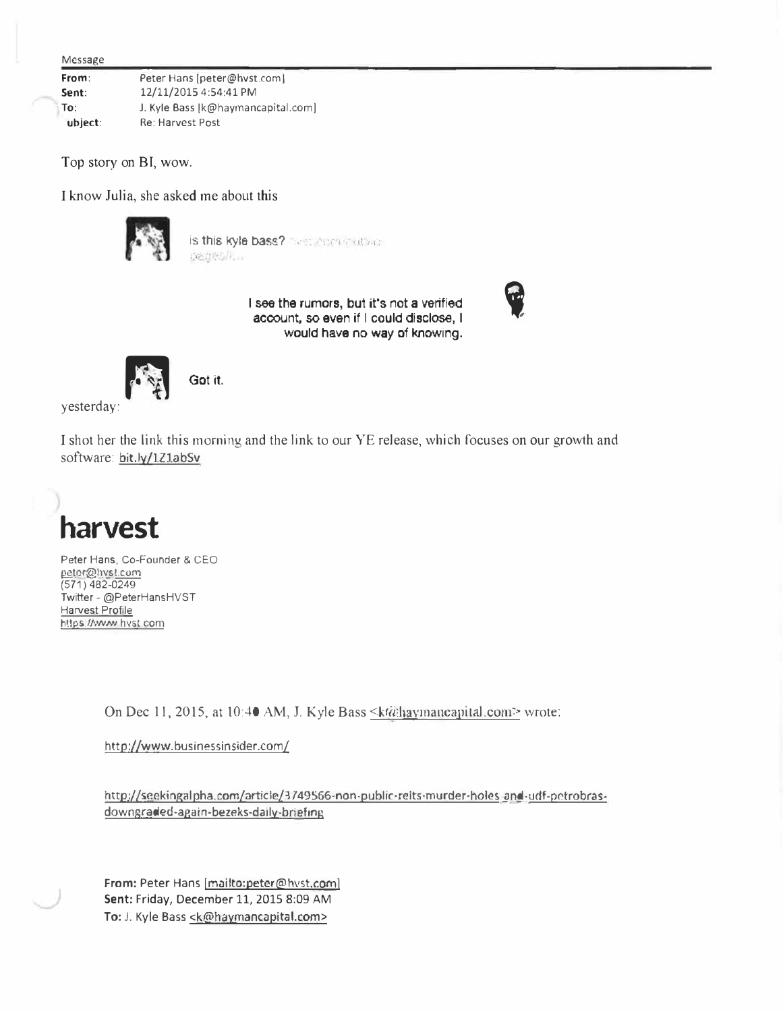| Message |                                    |
|---------|------------------------------------|
| From:   | Peter Hans [peter@hyst.com]        |
| Sent:   | 12/11/2015 4:54:41 PM              |
| To:     | J. Kyle Bass [k@haymancapital.com] |
| ubject: | Re: Harvest Post                   |

Top story on BI, wow.

I know Julia, she asked me about this



is this kyle bass?  $\sim$  .  $\sim$  .  $\sim$   $\sim$ 

I see the rumors, but it's not a verified account, so even if I could disclose, I would **have** no way of knowing.



yesterday:

I shot her the link this morning and the link to our YE release, which focuses on our growth and software: bit.ly/1Z1abSv



Peter Hans, Co-Founder & CEO peter@hvst.com (571) 482-0249 Twitter - @PeterHansHVST Harvest Profile https://www.hvst.com

On Dec 11, 2015, at 10:40 AM, J. Kyle Bass <kta hay mancapital.com> wrote:

http://www.businessinsider.com/

http://seekingalpha.com/article/3749566-non-public-reits-murder-holes-and-udf-petrobrasdowngraded-again-bezeks-daily-briefing

From: Peter Hans [mailto:peter@hvst.com] **Sent:** Friday, December 11, 2015 8:09 AM To: J. Kyle Bass <k@haymancapital.com>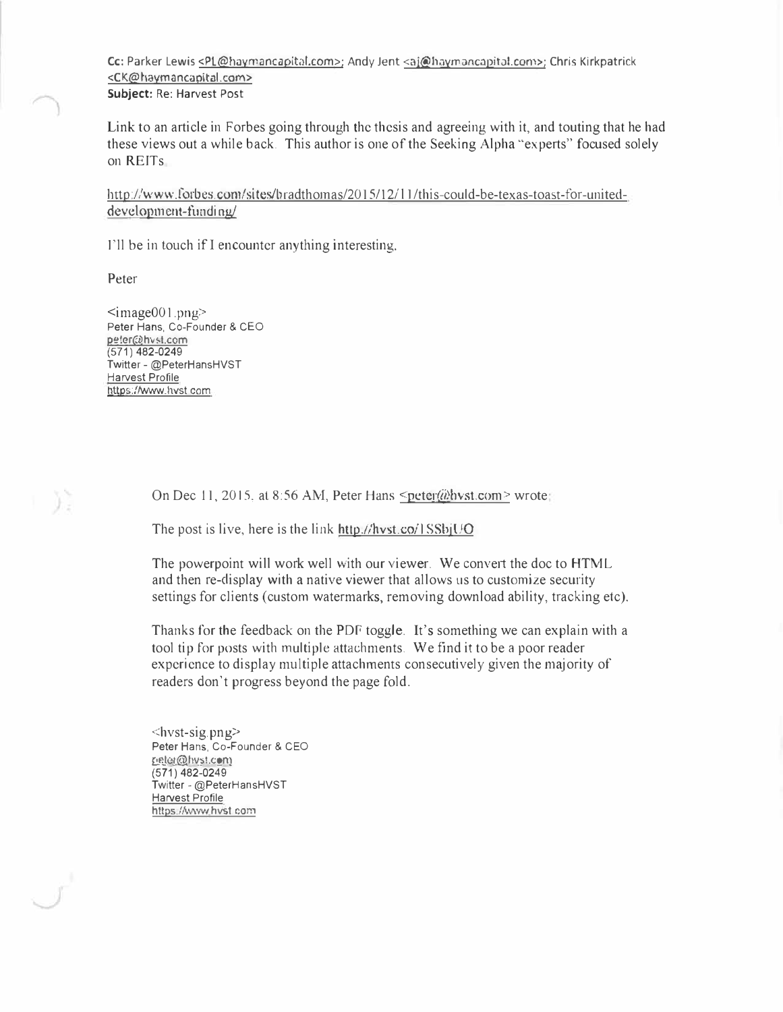Cc: Parker Lewis <PL@haymancapital.com>; Andy Jent <ai@haymancapital.com>; Chris Kirkpatrick <CK@haymancapital.com> **Subject:** Re: Harvest Post

Link to an article in Forbes going through the thesis and agreeing with it, and touting that he had these views out a while back. This author is one of the Seeking Alpha "experts" focused solely on REITs

http://www.forbes.com/sites/bradthomas/2015/12/11/this-could-be-texas-toast-for-uniteddevelopment-funding/

I'll be in touch if I encounter anything interesting.

Peter

y)

 $\leq$ image001.png> Peter Hans, Co-Founder & CEO peter@hvst.com (571) 482-0249 Twitter - @PeterHansHVST Harvest Profile https://www.hvst com

On Dec 11, 2015, at 8:56 AM, Peter Hans <peter@bvst.com> wrote:

The post is live, here is the link http.//hvst.co/1  $S\text{SbiUO}$ 

The powerpoint will work well with our viewer. We convert the doc to HTML and then re-display with a native viewer that allows us to customize security settings for clients (custom watermarks, removing download ability, tracking etc).

Thanks for the feedback on the PDF toggle. It's something we can explain with a tool tip for posts with multiple attachments. We find it to be a poor reader experience to display multiple attachments consecutively given the majority of readers don't progress beyond the page fold.

 $\langle$ hvst-sig. png> Peter Hans, Co-Founder & CEO peler@hvst.com (571) 482-0249 Twitter - @PeterHansHVST Harvest Profile https://www.hvst.com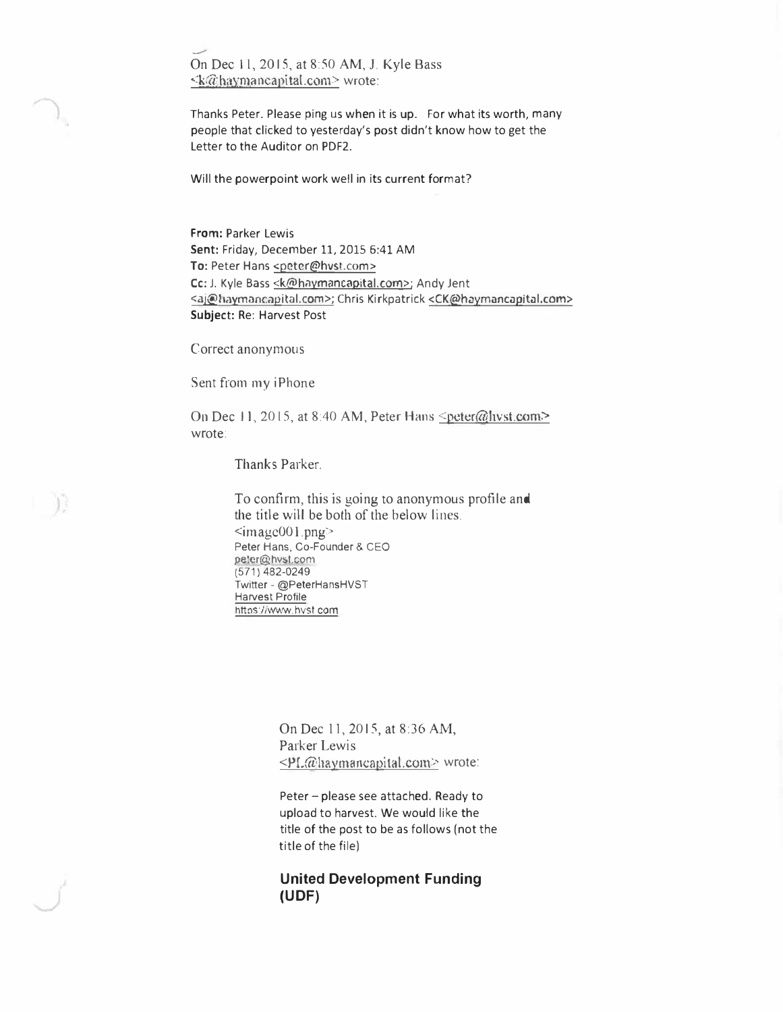- On Dec 11, 20 IS, at 8:50 AM, J. Kyle Bass <k@\_�f.1):.[l)\_a ncapi tat .com> wrote:

Thanks Peter. Please ping us when it is up. For what its worth, many people that clicked to yesterday's post didn't know how to get the Letter to the Auditor on PDF2.

Will the powerpoint work well in its current format?

**From:** Parker Lewis **Sent:** Friday, December 11, 2015 5:41 AM To: Peter Hans <peter@hvst.com> Cc: J. Kyle Bass <k@haymancapital.com>; Andy Jent <ai@Iiaymancapital.com>; Chris Kirkpatrick <CK@haymancapital.com> **Subject:** Re: Harvest Post

Correct anonymous

Sent from my iPhone

 $\mathbb{R}^2$ 

On Dec 11, 2015, at 8:40 AM, Peter Hans <peter@hvst.com> wrote:

Thanks Parker.

To confirm, this is going to anonymous profile and the title will be both of the below lines.  $\leq$ imagc001.png> Peter Hans, Co-Founder & CEO peler@hvst.com (571) 482-0249 Twitter - @PeterHansHVST Harvest Profile https://www.hvst.com

> On Dec 11, 2015, at 8:36 AM, Parker Lewis  $\leq P L \hat{\omega}$ haymancapital.com> wrote:

Peter - please see attached. Ready to upload to harvest. We would like the title of the post to be as follows (not the title of the file)

**United Development Funding (UDF)**